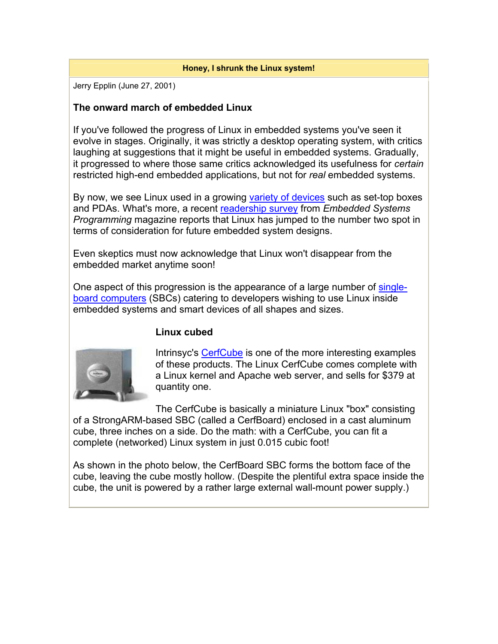#### **Honey, I shrunk the Linux system!**

Jerry Epplin (June 27, 2001)

### **The onward march of embedded Linux**

If you've followed the progress of Linux in embedded systems you've seen it evolve in stages. Originally, it was strictly a desktop operating system, with critics laughing at suggestions that it might be useful in embedded systems. Gradually, it progressed to where those same critics acknowledged its usefulness for *certain* restricted high-end embedded applications, but not for *real* embedded systems.

By now, we see Linux used in a growing variety of devices such as set-top boxes and PDAs. What's more, a recent readership survey from *Embedded Systems Programming* magazine reports that Linux has jumped to the number two spot in terms of consideration for future embedded system designs.

Even skeptics must now acknowledge that Linux won't disappear from the embedded market anytime soon!

One aspect of this progression is the appearance of a large number of singleboard computers (SBCs) catering to developers wishing to use Linux inside embedded systems and smart devices of all shapes and sizes.

## **Linux cubed**



Intrinsyc's CerfCube is one of the more interesting examples of these products. The Linux CerfCube comes complete with a Linux kernel and Apache web server, and sells for \$379 at quantity one.

The CerfCube is basically a miniature Linux "box" consisting of a StrongARM-based SBC (called a CerfBoard) enclosed in a cast aluminum cube, three inches on a side. Do the math: with a CerfCube, you can fit a complete (networked) Linux system in just 0.015 cubic foot!

As shown in the photo below, the CerfBoard SBC forms the bottom face of the cube, leaving the cube mostly hollow. (Despite the plentiful extra space inside the cube, the unit is powered by a rather large external wall-mount power supply.)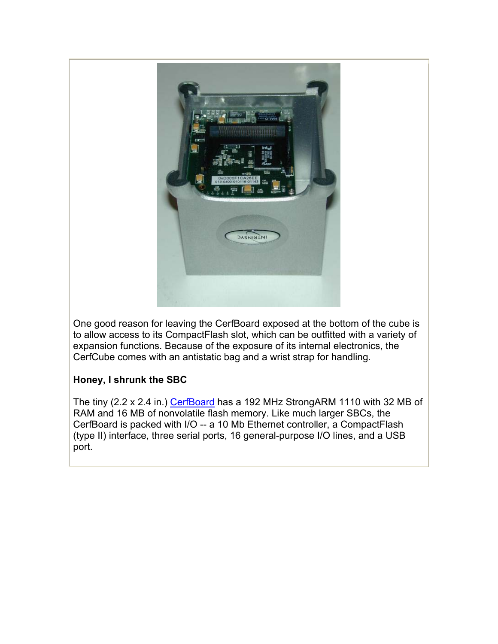

One good reason for leaving the CerfBoard exposed at the bottom of the cube is to allow access to its CompactFlash slot, which can be outfitted with a variety of expansion functions. Because of the exposure of its internal electronics, the CerfCube comes with an antistatic bag and a wrist strap for handling.

# **Honey, I shrunk the SBC**

The tiny (2.2 x 2.4 in.) CerfBoard has a 192 MHz StrongARM 1110 with 32 MB of RAM and 16 MB of nonvolatile flash memory. Like much larger SBCs, the CerfBoard is packed with I/O -- a 10 Mb Ethernet controller, a CompactFlash (type II) interface, three serial ports, 16 general-purpose I/O lines, and a USB port.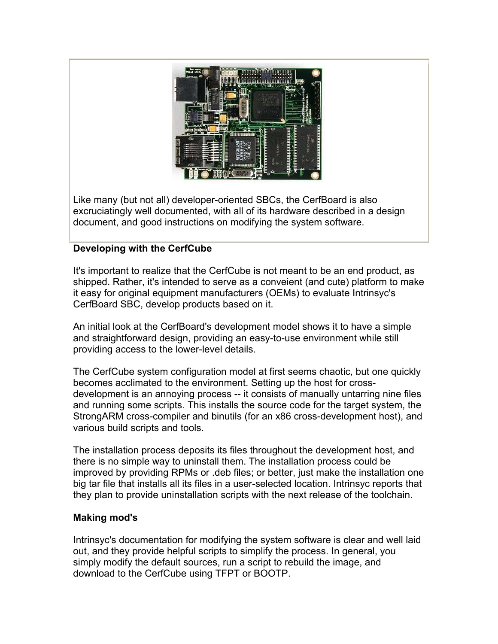

Like many (but not all) developer-oriented SBCs, the CerfBoard is also excruciatingly well documented, with all of its hardware described in a design document, and good instructions on modifying the system software.

## **Developing with the CerfCube**

It's important to realize that the CerfCube is not meant to be an end product, as shipped. Rather, it's intended to serve as a conveient (and cute) platform to make it easy for original equipment manufacturers (OEMs) to evaluate Intrinsyc's CerfBoard SBC, develop products based on it.

An initial look at the CerfBoard's development model shows it to have a simple and straightforward design, providing an easy-to-use environment while still providing access to the lower-level details.

The CerfCube system configuration model at first seems chaotic, but one quickly becomes acclimated to the environment. Setting up the host for crossdevelopment is an annoying process -- it consists of manually untarring nine files and running some scripts. This installs the source code for the target system, the StrongARM cross-compiler and binutils (for an x86 cross-development host), and various build scripts and tools.

The installation process deposits its files throughout the development host, and there is no simple way to uninstall them. The installation process could be improved by providing RPMs or .deb files; or better, just make the installation one big tar file that installs all its files in a user-selected location. Intrinsyc reports that they plan to provide uninstallation scripts with the next release of the toolchain.

## **Making mod's**

Intrinsyc's documentation for modifying the system software is clear and well laid out, and they provide helpful scripts to simplify the process. In general, you simply modify the default sources, run a script to rebuild the image, and download to the CerfCube using TFPT or BOOTP.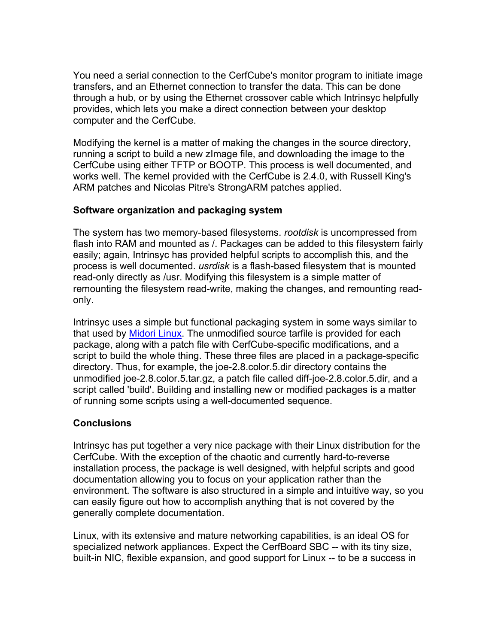You need a serial connection to the CerfCube's monitor program to initiate image transfers, and an Ethernet connection to transfer the data. This can be done through a hub, or by using the Ethernet crossover cable which Intrinsyc helpfully provides, which lets you make a direct connection between your desktop computer and the CerfCube.

Modifying the kernel is a matter of making the changes in the source directory, running a script to build a new zImage file, and downloading the image to the CerfCube using either TFTP or BOOTP. This process is well documented, and works well. The kernel provided with the CerfCube is 2.4.0, with Russell King's ARM patches and Nicolas Pitre's StrongARM patches applied.

## **Software organization and packaging system**

The system has two memory-based filesystems. *rootdisk* is uncompressed from flash into RAM and mounted as /. Packages can be added to this filesystem fairly easily; again, Intrinsyc has provided helpful scripts to accomplish this, and the process is well documented. *usrdisk* is a flash-based filesystem that is mounted read-only directly as /usr. Modifying this filesystem is a simple matter of remounting the filesystem read-write, making the changes, and remounting readonly.

Intrinsyc uses a simple but functional packaging system in some ways similar to that used by Midori Linux. The unmodified source tarfile is provided for each package, along with a patch file with CerfCube-specific modifications, and a script to build the whole thing. These three files are placed in a package-specific directory. Thus, for example, the joe-2.8.color.5.dir directory contains the unmodified joe-2.8.color.5.tar.gz, a patch file called diff-joe-2.8.color.5.dir, and a script called 'build'. Building and installing new or modified packages is a matter of running some scripts using a well-documented sequence.

## **Conclusions**

Intrinsyc has put together a very nice package with their Linux distribution for the CerfCube. With the exception of the chaotic and currently hard-to-reverse installation process, the package is well designed, with helpful scripts and good documentation allowing you to focus on your application rather than the environment. The software is also structured in a simple and intuitive way, so you can easily figure out how to accomplish anything that is not covered by the generally complete documentation.

Linux, with its extensive and mature networking capabilities, is an ideal OS for specialized network appliances. Expect the CerfBoard SBC -- with its tiny size, built-in NIC, flexible expansion, and good support for Linux -- to be a success in